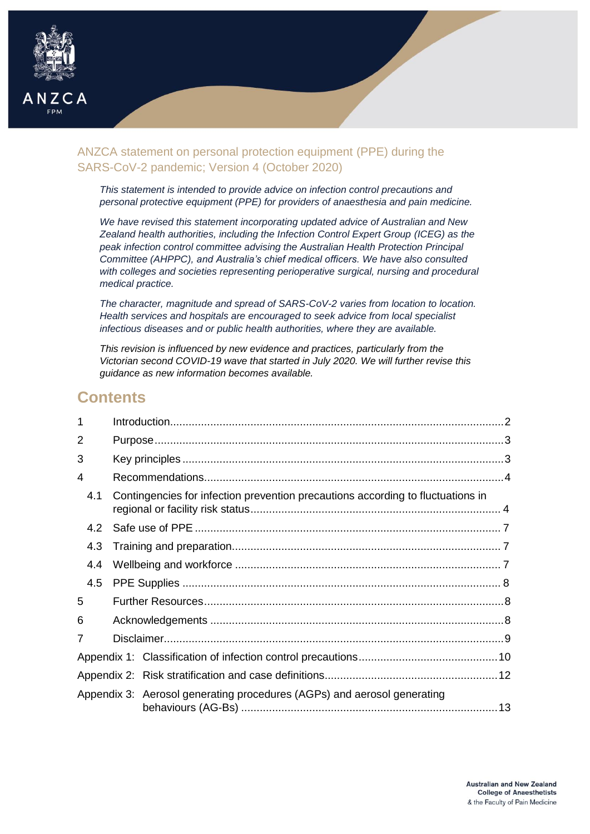

# ANZCA statement on personal protection equipment (PPE) during the SARS-CoV-2 pandemic; Version 4 (October 2020)

*This statement is intended to provide advice on infection control precautions and personal protective equipment (PPE) for providers of anaesthesia and pain medicine.*

*We have revised this statement incorporating updated advice of Australian and New Zealand health authorities, including the Infection Control Expert Group (ICEG) as the peak infection control committee advising the Australian Health Protection Principal Committee (AHPPC), and Australia's chief medical officers. We have also consulted with colleges and societies representing perioperative surgical, nursing and procedural medical practice.*

*The character, magnitude and spread of SARS-CoV-2 varies from location to location. Health services and hospitals are encouraged to seek advice from local specialist infectious diseases and or public health authorities, where they are available.*

*This revision is influenced by new evidence and practices, particularly from the Victorian second COVID-19 wave that started in July 2020. We will further revise this guidance as new information becomes available.*

# **Contents**

| 1   |  |                                                                                 |  |
|-----|--|---------------------------------------------------------------------------------|--|
| 2   |  |                                                                                 |  |
| 3   |  |                                                                                 |  |
| 4   |  |                                                                                 |  |
| 4.1 |  | Contingencies for infection prevention precautions according to fluctuations in |  |
| 42  |  |                                                                                 |  |
| 4.3 |  |                                                                                 |  |
| 4.4 |  |                                                                                 |  |
| 4.5 |  |                                                                                 |  |
| 5   |  |                                                                                 |  |
| 6   |  |                                                                                 |  |
| 7   |  |                                                                                 |  |
|     |  |                                                                                 |  |
|     |  |                                                                                 |  |
|     |  | Appendix 3: Aerosol generating procedures (AGPs) and aerosol generating         |  |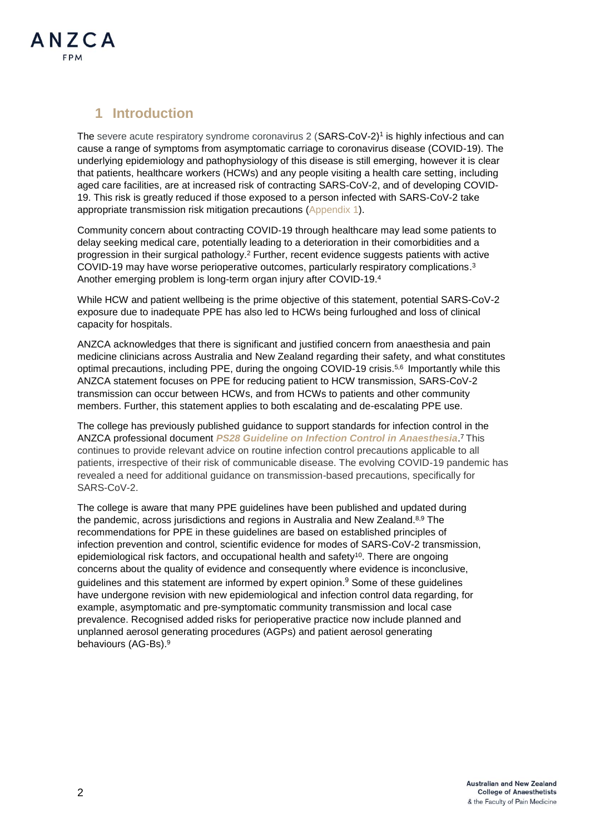

# <span id="page-1-0"></span>**1 Introduction**

The severe acute respiratory syndrome coronavirus 2 (SARS-CoV-2)<sup>1</sup> is highly infectious and can cause a range of symptoms from asymptomatic carriage to coronavirus disease (COVID-19). The underlying epidemiology and pathophysiology of this disease is still emerging, however it is clear that patients, healthcare workers (HCWs) and any people visiting a health care setting, including aged care facilities, are at increased risk of contracting SARS-CoV-2, and of developing COVID-19. This risk is greatly reduced if those exposed to a person infected with SARS-CoV-2 take appropriate transmission risk mitigation precautions [\(Appendix 1\)](#page-9-0).

Community concern about contracting COVID-19 through healthcare may lead some patients to delay seeking medical care, potentially leading to a deterioration in their comorbidities and a progression in their surgical pathology.<sup>2</sup> Further, recent evidence suggests patients with active COVID-19 may have worse perioperative outcomes, particularly respiratory complications. 3 Another emerging problem is long-term organ injury after COVID-19.<sup>4</sup>

While HCW and patient wellbeing is the prime objective of this statement, potential SARS-CoV-2 exposure due to inadequate PPE has also led to HCWs being furloughed and loss of clinical capacity for hospitals.

ANZCA acknowledges that there is significant and justified concern from anaesthesia and pain medicine clinicians across Australia and New Zealand regarding their safety, and what constitutes optimal precautions, including PPE, during the ongoing COVID-19 crisis.<sup>5,6</sup> Importantly while this ANZCA statement focuses on PPE for reducing patient to HCW transmission, SARS-CoV-2 transmission can occur between HCWs, and from HCWs to patients and other community members. Further, this statement applies to both escalating and de-escalating PPE use.

The college has previously published guidance to support standards for infection control in the ANZCA professional document *PS28 Guideline on [Infection Control in Anaesthesia](https://www.anzca.edu.au/resources/professional-documents/guidelines/ps28-guidelines-on-infection-control-in-anaesthesi)*. <sup>7</sup> This continues to provide relevant advice on routine infection control precautions applicable to all patients, irrespective of their risk of communicable disease. The evolving COVID-19 pandemic has revealed a need for additional guidance on transmission-based precautions, specifically for SARS-CoV-2.

The college is aware that many PPE guidelines have been published and updated during the pandemic, across jurisdictions and regions in Australia and New Zealand.<sup>8,9</sup> The recommendations for PPE in these guidelines are based on established principles of infection prevention and control, scientific evidence for modes of SARS-CoV-2 transmission, epidemiological risk factors, and occupational health and safety<sup>10</sup>. There are ongoing concerns about the quality of evidence and consequently where evidence is inconclusive, guidelines and this statement are informed by expert opinion.<sup>9</sup> Some of these guidelines have undergone revision with new epidemiological and infection control data regarding, for example, asymptomatic and pre-symptomatic community transmission and local case prevalence. Recognised added risks for perioperative practice now include planned and unplanned aerosol generating procedures (AGPs) and patient aerosol generating behaviours (AG-Bs). 9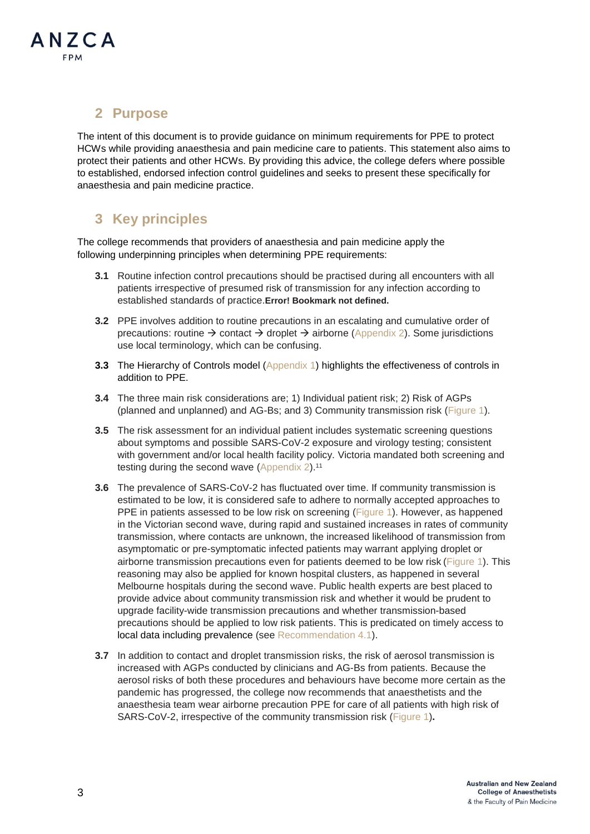

# <span id="page-2-0"></span>**2 Purpose**

The intent of this document is to provide guidance on minimum requirements for PPE to protect HCWs while providing anaesthesia and pain medicine care to patients. This statement also aims to protect their patients and other HCWs. By providing this advice, the college defers where possible to established, endorsed infection control guidelines and seeks to present these specifically for anaesthesia and pain medicine practice.

# <span id="page-2-1"></span>**3 Key principles**

The college recommends that providers of anaesthesia and pain medicine apply the following underpinning principles when determining PPE requirements:

- **3.1** Routine infection control precautions should be practised during all encounters with all patients irrespective of presumed risk of transmission for any infection according to established standards of practice.**Error! Bookmark not defined.**
- **3.2** PPE involves addition to routine precautions in an escalating and cumulative order of precautions: routine  $\rightarrow$  contact  $\rightarrow$  droplet  $\rightarrow$  airborne [\(Appendix 2\)](#page-11-0). Some jurisdictions use local terminology, which can be confusing.
- **3.3** The Hierarchy of Controls model [\(Appendix](#page-9-0) 1) highlights the effectiveness of controls in addition to PPE.
- **3.4** The three main risk considerations are; 1) Individual patient risk; 2) Risk of AGPs (planned and unplanned) and AG-Bs; and 3) Community transmission risk [\(Figure](#page-5-0) 1).
- **3.5** The risk assessment for an individual patient includes systematic screening questions about symptoms and possible SARS-CoV-2 exposure and virology testing; consistent with government and/or local health facility policy. Victoria mandated both screening and testing during the second wave [\(Appendix 2\)](#page-11-0).<sup>11</sup>
- **3.6** The prevalence of SARS-CoV-2 has fluctuated over time. If community transmission is estimated to be low, it is considered safe to adhere to normally accepted approaches to PPE in patients assessed to be low risk on screening [\(Figure 1\)](#page-5-0). However, as happened in the Victorian second wave, during rapid and sustained increases in rates of community transmission, where contacts are unknown, the increased likelihood of transmission from asymptomatic or pre-symptomatic infected patients may warrant applying droplet or airborne transmission precautions even for patients deemed to be low risk [\(Figure](#page-5-0) 1). This reasoning may also be applied for known hospital clusters, as happened in several Melbourne hospitals during the second wave. Public health experts are best placed to provide advice about community transmission risk and whether it would be prudent to upgrade facility-wide transmission precautions and whether transmission-based precautions should be applied to low risk patients. This is predicated on timely access to local data including prevalence (see [Recommendation 4.1\)](#page-3-1).
- **3.7** In addition to contact and droplet transmission risks, the risk of aerosol transmission is increased with AGPs conducted by clinicians and AG-Bs from patients. Because the aerosol risks of both these procedures and behaviours have become more certain as the pandemic has progressed, the college now recommends that anaesthetists and the anaesthesia team wear airborne precaution PPE for care of all patients with high risk of SARS-CoV-2, irrespective of the community transmission risk [\(Figure](#page-5-0) 1)**.**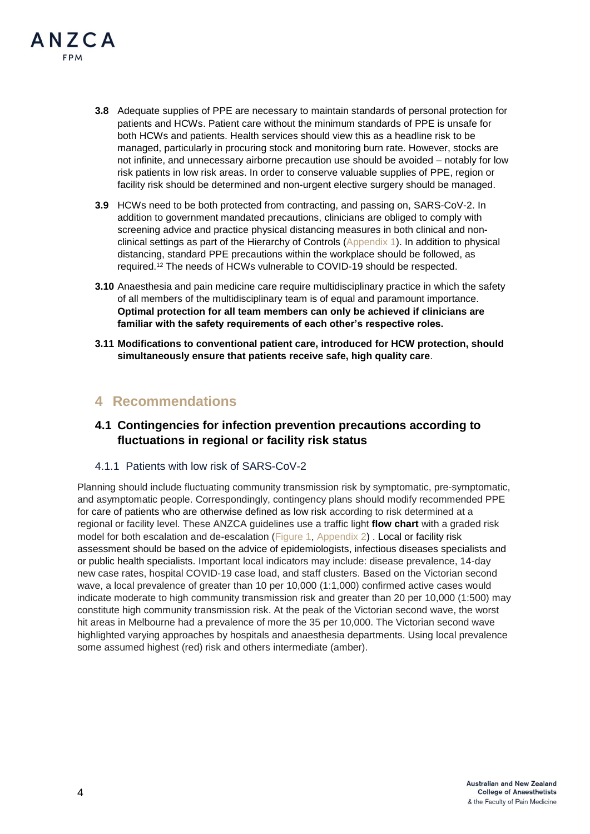

- **3.8** Adequate supplies of PPE are necessary to maintain standards of personal protection for patients and HCWs. Patient care without the minimum standards of PPE is unsafe for both HCWs and patients. Health services should view this as a headline risk to be managed, particularly in procuring stock and monitoring burn rate. However, stocks are not infinite, and unnecessary airborne precaution use should be avoided – notably for low risk patients in low risk areas. In order to conserve valuable supplies of PPE, region or facility risk should be determined and non-urgent elective surgery should be managed.
- **3.9** HCWs need to be both protected from contracting, and passing on, SARS-CoV-2. In addition to government mandated precautions, clinicians are obliged to comply with screening advice and practice physical distancing measures in both clinical and nonclinical settings as part of the Hierarchy of Controls [\(Appendix 1\)](#page-9-0). In addition to physical distancing, standard PPE precautions within the workplace should be followed, as required. <sup>12</sup> The needs of HCWs vulnerable to COVID-19 should be respected.
- **3.10** Anaesthesia and pain medicine care require multidisciplinary practice in which the safety of all members of the multidisciplinary team is of equal and paramount importance. **Optimal protection for all team members can only be achieved if clinicians are familiar with the safety requirements of each other's respective roles.**
- **3.11 Modifications to conventional patient care, introduced for HCW protection, should simultaneously ensure that patients receive safe, high quality care**.

### <span id="page-3-0"></span>**4 Recommendations**

### <span id="page-3-1"></span>**4.1 Contingencies for infection prevention precautions according to fluctuations in regional or facility risk status**

4.1.1 Patients with low risk of SARS-CoV-2

Planning should include fluctuating community transmission risk by symptomatic, pre-symptomatic, and asymptomatic people. Correspondingly, contingency plans should modify recommended PPE for care of patients who are otherwise defined as low risk according to risk determined at a regional or facility level. These ANZCA guidelines use a traffic light **flow chart** with a graded risk model for both escalation and de-escalation [\(Figure 1,](#page-5-0) [Appendix 2\)](#page-11-0) . Local or facility risk assessment should be based on the advice of epidemiologists, infectious diseases specialists and or public health specialists. Important local indicators may include: disease prevalence, 14-day new case rates, hospital COVID-19 case load, and staff clusters. Based on the Victorian second wave, a local prevalence of greater than 10 per 10,000 (1:1,000) confirmed active cases would indicate moderate to high community transmission risk and greater than 20 per 10,000 (1:500) may constitute high community transmission risk. At the peak of the Victorian second wave, the worst hit areas in Melbourne had a prevalence of more the 35 per 10,000. The Victorian second wave highlighted varying approaches by hospitals and anaesthesia departments. Using local prevalence some assumed highest (red) risk and others intermediate (amber).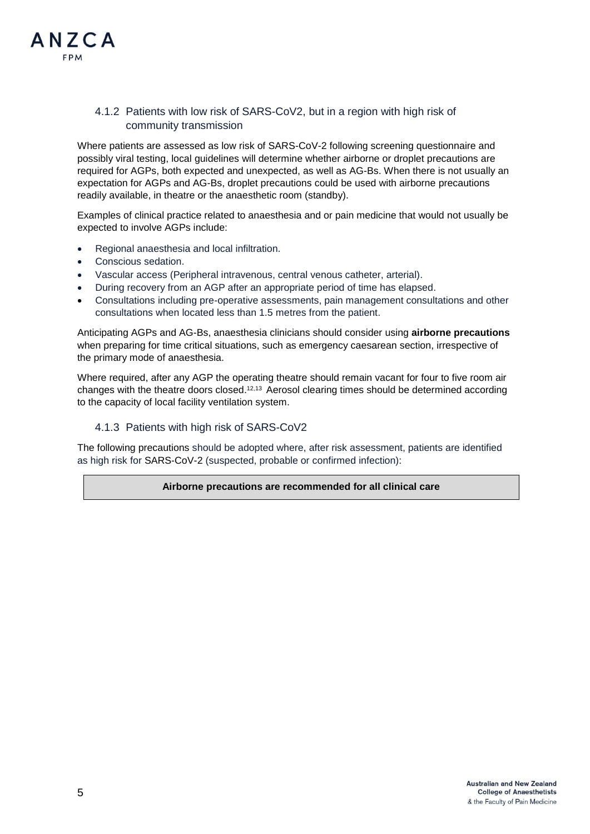### 4.1.2 Patients with low risk of SARS-CoV2, but in a region with high risk of community transmission

Where patients are assessed as low risk of SARS-CoV-2 following screening questionnaire and possibly viral testing, local guidelines will determine whether airborne or droplet precautions are required for AGPs, both expected and unexpected, as well as AG-Bs. When there is not usually an expectation for AGPs and AG-Bs, droplet precautions could be used with airborne precautions readily available, in theatre or the anaesthetic room (standby).

Examples of clinical practice related to anaesthesia and or pain medicine that would not usually be expected to involve AGPs include:

- Regional anaesthesia and local infiltration.
- Conscious sedation.
- Vascular access (Peripheral intravenous, central venous catheter, arterial).
- During recovery from an AGP after an appropriate period of time has elapsed.
- Consultations including pre-operative assessments, pain management consultations and other consultations when located less than 1.5 metres from the patient.

Anticipating AGPs and AG-Bs, anaesthesia clinicians should consider using **airborne precautions** when preparing for time critical situations, such as emergency caesarean section, irrespective of the primary mode of anaesthesia.

Where required, after any AGP the operating theatre should remain vacant for four to five room air changes with the theatre doors closed.<sup>12,13</sup> Aerosol clearing times should be determined according to the capacity of local facility ventilation system.

#### 4.1.3 Patients with high risk of SARS-CoV2

The following precautions should be adopted where, after risk assessment, patients are identified as high risk for SARS-CoV-2 (suspected, probable or confirmed infection):

**Airborne precautions are recommended for all clinical care**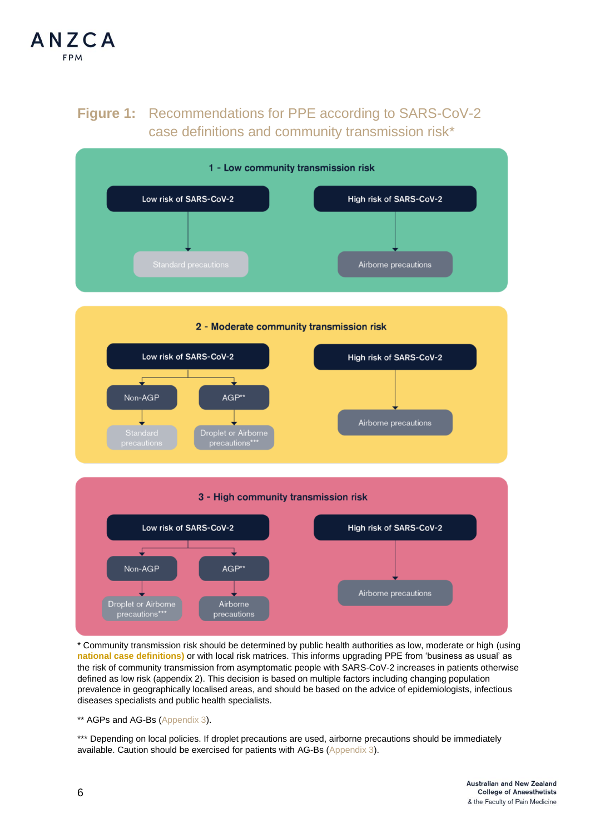<span id="page-5-0"></span>

# **Figure 1:** Recommendations for PPE according to SARS-CoV-2 case definitions and community transmission risk\*



\* Community transmission risk should be determined by public health authorities as low, moderate or high (using **[national case definitions\)](https://www.health.gov.au/sites/default/files/documents/2020/03/interim-advice-on-non-inpatient-care-of-persons-with-suspected-or-confirmed-coronavirus-disease-2019-covid-19-including-use-of-personal-protective-equipment-ppe.pdf)** or with local risk matrices. This informs upgrading PPE from 'business as usual' as the risk of community transmission from asymptomatic people with SARS-CoV-2 increases in patients otherwise defined as low risk (appendix 2). This decision is based on multiple factors including changing population prevalence in geographically localised areas, and should be based on the advice of epidemiologists, infectious diseases specialists and public health specialists.

\*\* AGPs and AG-Bs [\(Appendix 3\)](#page-12-0).

\*\*\* Depending on local policies. If droplet precautions are used, airborne precautions should be immediately available. Caution should be exercised for patients with AG-Bs [\(Appendix 3\)](#page-12-0).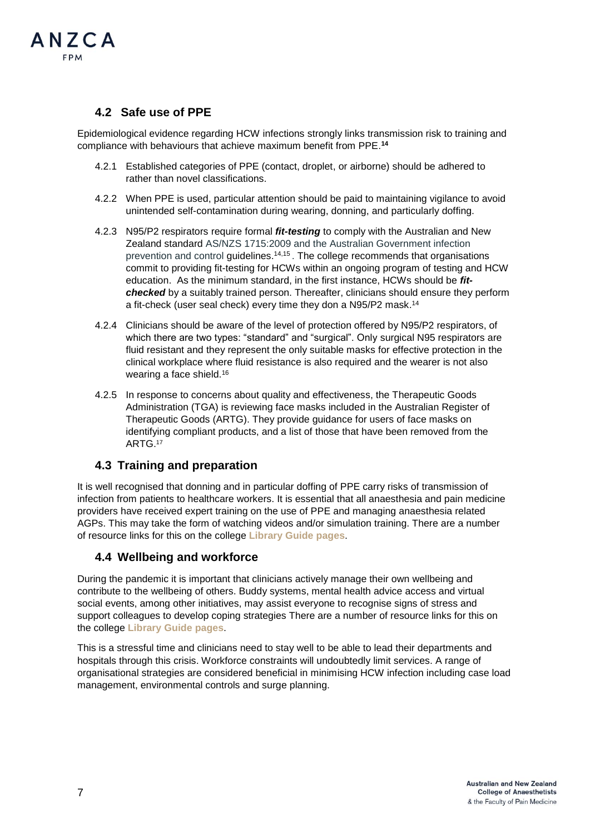

### <span id="page-6-0"></span>**4.2 Safe use of PPE**

Epidemiological evidence regarding HCW infections strongly links transmission risk to training and compliance with behaviours that achieve maximum benefit from PPE. **14**

- 4.2.1 Established categories of PPE (contact, droplet, or airborne) should be adhered to rather than novel classifications.
- 4.2.2 When PPE is used, particular attention should be paid to maintaining vigilance to avoid unintended self-contamination during wearing, donning, and particularly doffing.
- 4.2.3 N95/P2 respirators require formal *fit-testing* to comply with the Australian and New Zealand standard AS/NZS 1715:2009 and the Australian Government infection prevention and control guidelines. 14,15 . The college recommends that organisations commit to providing fit-testing for HCWs within an ongoing program of testing and HCW education. As the minimum standard, in the first instance, HCWs should be *fitchecked* by a suitably trained person. Thereafter, clinicians should ensure they perform a fit-check (user seal check) every time they don a N95/P2 mask.<sup>14</sup>
- 4.2.4 Clinicians should be aware of the level of protection offered by N95/P2 respirators, of which there are two types: "standard" and "surgical". Only surgical N95 respirators are fluid resistant and they represent the only suitable masks for effective protection in the clinical workplace where fluid resistance is also required and the wearer is not also wearing a face shield. 16
- 4.2.5 In response to concerns about quality and effectiveness, the Therapeutic Goods Administration (TGA) is reviewing face masks included in the Australian Register of Therapeutic Goods (ARTG). They provide guidance for users of face masks on identifying compliant products, and a list of those that have been removed from the ARTG.<sup>17</sup>

### <span id="page-6-1"></span>**4.3 Training and preparation**

It is well recognised that donning and in particular doffing of PPE carry risks of transmission of infection from patients to healthcare workers. It is essential that all anaesthesia and pain medicine providers have received expert training on the use of PPE and managing anaesthesia related AGPs. This may take the form of watching videos and/or simulation training. There are a number of resource links for this on the college **[Library Guide pages](https://libguides.anzca.edu.au/covid-19/clinical)**.

### <span id="page-6-2"></span>**4.4 Wellbeing and workforce**

During the pandemic it is important that clinicians actively manage their own wellbeing and contribute to the wellbeing of others. Buddy systems, mental health advice access and virtual social events, among other initiatives, may assist everyone to recognise signs of stress and support colleagues to develop coping strategies There are a number of resource links for this on the college **[Library Guide pages](https://libguides.anzca.edu.au/covid-19/clinical)**.

This is a stressful time and clinicians need to stay well to be able to lead their departments and hospitals through this crisis. Workforce constraints will undoubtedly limit services. A range of organisational strategies are considered beneficial in minimising HCW infection including case load management, environmental controls and surge planning.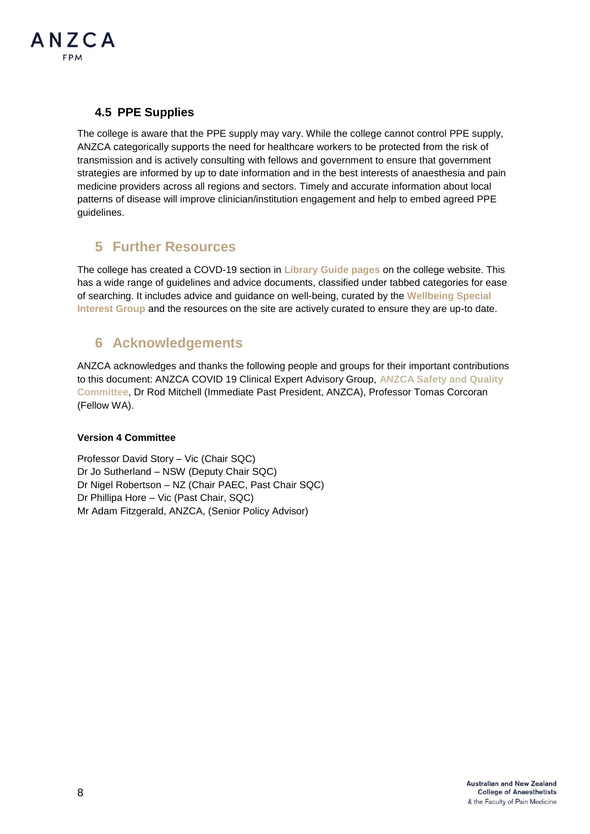

## <span id="page-7-0"></span>**4.5 PPE Supplies**

The college is aware that the PPE supply may vary. While the college cannot control PPE supply, ANZCA categorically supports the need for healthcare workers to be protected from the risk of transmission and is actively consulting with fellows and government to ensure that government strategies are informed by up to date information and in the best interests of anaesthesia and pain medicine providers across all regions and sectors. Timely and accurate information about local patterns of disease will improve clinician/institution engagement and help to embed agreed PPE guidelines.

# <span id="page-7-1"></span>**5 Further Resources**

The college has created a COVD-19 section in **[Library Guide pages](https://libguides.anzca.edu.au/covid-19/clinical)** on the college website. This has a wide range of guidelines and advice documents, classified under tabbed categories for ease of searching. It includes advice and guidance on well-being, curated by the **[Wellbeing Special](https://www.anzca.edu.au/fellowship/anaesthesia-continuing-education-(1)/wellbeing-special-interest-group)  [Interest Group](https://www.anzca.edu.au/fellowship/anaesthesia-continuing-education-(1)/wellbeing-special-interest-group)** and the resources on the site are actively curated to ensure they are up-to date.

# <span id="page-7-2"></span>**6 Acknowledgements**

ANZCA acknowledges and thanks the following people and groups for their important contributions to this document: ANZCA COVID 19 Clinical Expert Advisory Group, **[ANZCA Safety and Quality](http://www.anzca.edu.au/about-anzca/council,-committees-and-representatives/committees/safety-and-quality-committee)  [Committee](http://www.anzca.edu.au/about-anzca/council,-committees-and-representatives/committees/safety-and-quality-committee)**, Dr Rod Mitchell (Immediate Past President, ANZCA), Professor Tomas Corcoran (Fellow WA).

### **Version 4 Committee**

Professor David Story – Vic (Chair SQC) Dr Jo Sutherland – NSW (Deputy Chair SQC) Dr Nigel Robertson – NZ (Chair PAEC, Past Chair SQC) Dr Phillipa Hore – Vic (Past Chair, SQC) Mr Adam Fitzgerald, ANZCA, (Senior Policy Advisor)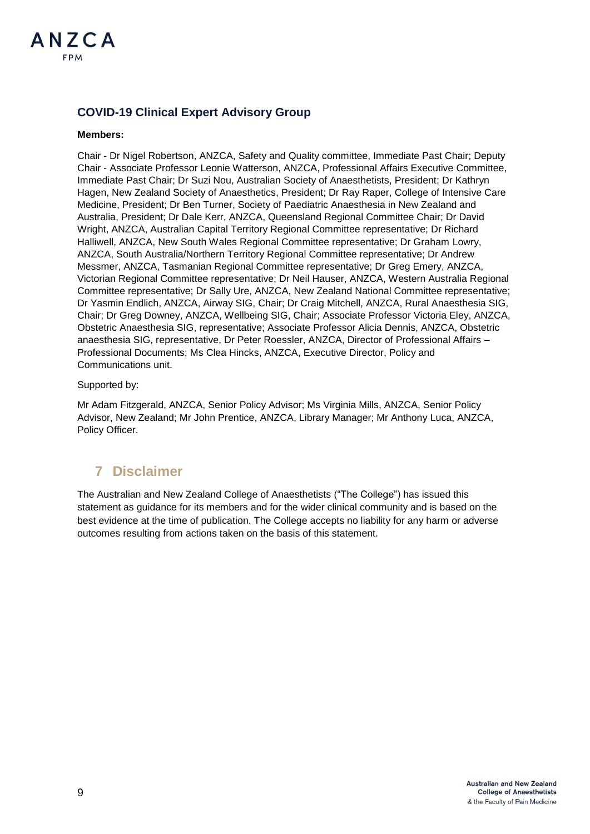

### **COVID-19 Clinical Expert Advisory Group**

#### **Members:**

Chair - Dr Nigel Robertson, ANZCA, Safety and Quality committee, Immediate Past Chair; Deputy Chair - Associate Professor Leonie Watterson, ANZCA, Professional Affairs Executive Committee, Immediate Past Chair; Dr Suzi Nou, Australian Society of Anaesthetists, President; Dr Kathryn Hagen, New Zealand Society of Anaesthetics, President; Dr Ray Raper, College of Intensive Care Medicine, President; Dr Ben Turner, Society of Paediatric Anaesthesia in New Zealand and Australia, President; Dr Dale Kerr, ANZCA, Queensland Regional Committee Chair; Dr David Wright, ANZCA, Australian Capital Territory Regional Committee representative; Dr Richard Halliwell, ANZCA, New South Wales Regional Committee representative; Dr Graham Lowry, ANZCA, South Australia/Northern Territory Regional Committee representative; Dr Andrew Messmer, ANZCA, Tasmanian Regional Committee representative; Dr Greg Emery, ANZCA, Victorian Regional Committee representative; Dr Neil Hauser, ANZCA, Western Australia Regional Committee representative; Dr Sally Ure, ANZCA, New Zealand National Committee representative; Dr Yasmin Endlich, ANZCA, Airway SIG, Chair; Dr Craig Mitchell, ANZCA, Rural Anaesthesia SIG, Chair; Dr Greg Downey, ANZCA, Wellbeing SIG, Chair; Associate Professor Victoria Eley, ANZCA, Obstetric Anaesthesia SIG, representative; Associate Professor Alicia Dennis, ANZCA, Obstetric anaesthesia SIG, representative, Dr Peter Roessler, ANZCA, Director of Professional Affairs – Professional Documents; Ms Clea Hincks, ANZCA, Executive Director, Policy and Communications unit.

#### Supported by:

Mr Adam Fitzgerald, ANZCA, Senior Policy Advisor; Ms Virginia Mills, ANZCA, Senior Policy Advisor, New Zealand; Mr John Prentice, ANZCA, Library Manager; Mr Anthony Luca, ANZCA, Policy Officer.

# <span id="page-8-0"></span>**7 Disclaimer**

The Australian and New Zealand College of Anaesthetists ("The College") has issued this statement as guidance for its members and for the wider clinical community and is based on the best evidence at the time of publication. The College accepts no liability for any harm or adverse outcomes resulting from actions taken on the basis of this statement.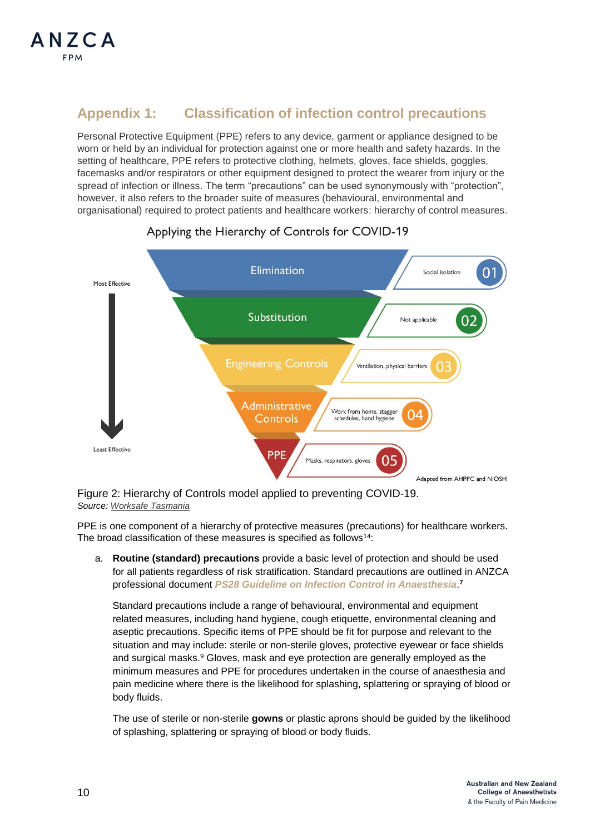# <span id="page-9-0"></span>**Appendix 1: Classification of infection control precautions**

Personal Protective Equipment (PPE) refers to any device, garment or appliance designed to be worn or held by an individual for protection against one or more health and safety hazards. In the setting of healthcare, PPE refers to protective clothing, helmets, gloves, face shields, goggles, facemasks and/or respirators or other equipment designed to protect the wearer from injury or the spread of infection or illness. The term "precautions" can be used synonymously with "protection", however, it also refers to the broader suite of measures (behavioural, environmental and organisational) required to protect patients and healthcare workers: hierarchy of control measures.



## Applying the Hierarchy of Controls for COVID-19

Figure 2: Hierarchy of Controls model applied to preventing COVID-19. *Source[: Worksafe Tasmania](https://www.worksafe.tas.gov.au/topics/Health-and-Safety/safety-alerts/coronavirus/covid-safe-workplaces-framework)*

PPE is one component of a hierarchy of protective measures (precautions) for healthcare workers. The broad classification of these measures is specified as follows<sup>14</sup>:

a. **Routine (standard) precautions** provide a basic level of protection and should be used for all patients regardless of risk stratification. Standard precautions are outlined in ANZCA professional document *PS28 Guideline on [Infection Control in Anaesthesia](https://www.anzca.edu.au/resources/professional-documents/guidelines/ps28-guidelines-on-infection-control-in-anaesthesi)*. **7**

Standard precautions include a range of behavioural, environmental and equipment related measures, including hand hygiene, cough etiquette, environmental cleaning and aseptic precautions. Specific items of PPE should be fit for purpose and relevant to the situation and may include: sterile or non-sterile gloves, protective eyewear or face shields and surgical masks. <sup>9</sup> Gloves, mask and eye protection are generally employed as the minimum measures and PPE for procedures undertaken in the course of anaesthesia and pain medicine where there is the likelihood for splashing, splattering or spraying of blood or body fluids.

The use of sterile or non-sterile **gowns** or plastic aprons should be guided by the likelihood of splashing, splattering or spraying of blood or body fluids.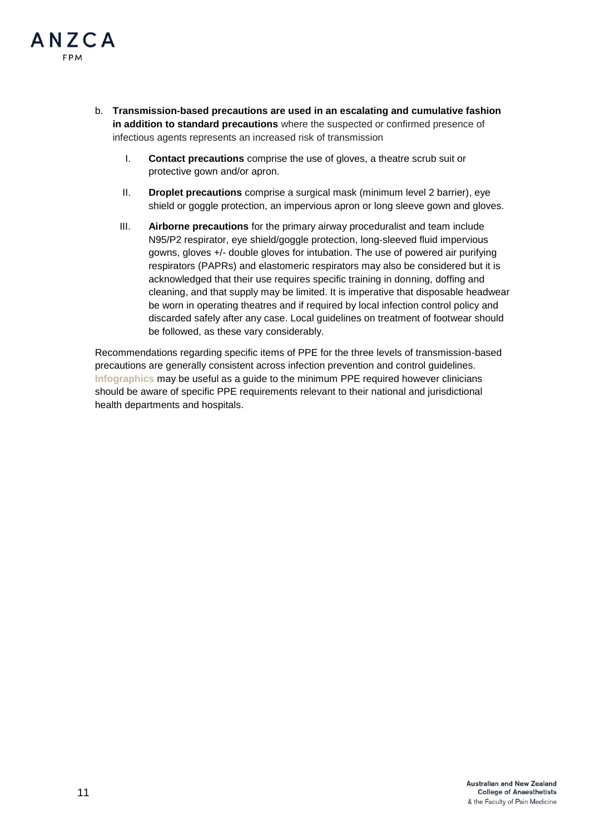

- b. **Transmission-based precautions are used in an escalating and cumulative fashion in addition to standard precautions** where the suspected or confirmed presence of infectious agents represents an increased risk of transmission
	- I. **Contact precautions** comprise the use of gloves, a theatre scrub suit or protective gown and/or apron.
	- II. **Droplet precautions** comprise a surgical mask (minimum level 2 barrier), eye shield or goggle protection, an impervious apron or long sleeve gown and gloves.
	- III. **Airborne precautions** for the primary airway proceduralist and team include N95/P2 respirator, eye shield/goggle protection, long-sleeved fluid impervious gowns, gloves +/- double gloves for intubation. The use of powered air purifying respirators (PAPRs) and elastomeric respirators may also be considered but it is acknowledged that their use requires specific training in donning, doffing and cleaning, and that supply may be limited. It is imperative that disposable headwear be worn in operating theatres and if required by local infection control policy and discarded safely after any case. Local guidelines on treatment of footwear should be followed, as these vary considerably.

Recommendations regarding specific items of PPE for the three levels of transmission-based precautions are generally consistent across infection prevention and control guidelines. **[Infographics](https://www.health.govt.nz/system/files/documents/pages/hp7366-guidelines-for-ppe-use-in-healthcare-poster-25-april2020.pdf)** may be useful as a guide to the minimum PPE required however clinicians should be aware of specific PPE requirements relevant to their national and jurisdictional health departments and hospitals.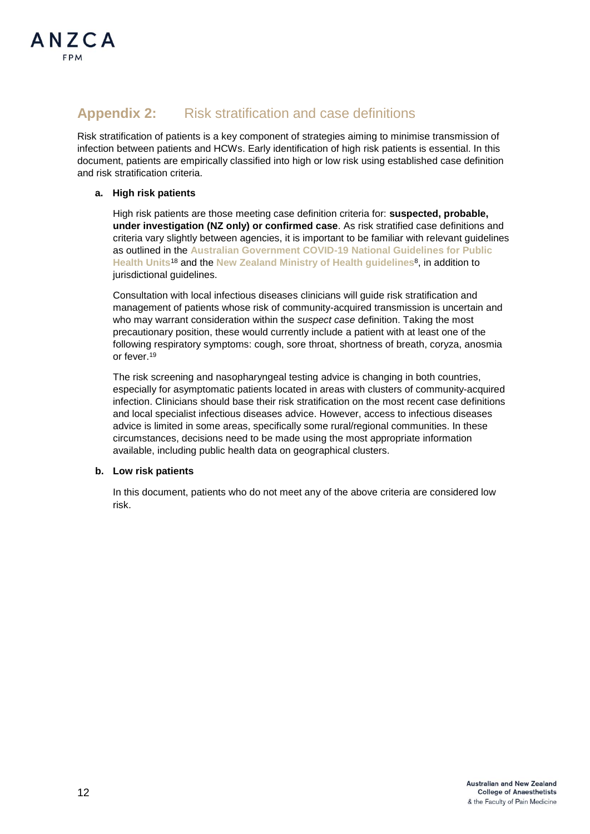

# <span id="page-11-0"></span>**Appendix 2:** Risk stratification and case definitions

Risk stratification of patients is a key component of strategies aiming to minimise transmission of infection between patients and HCWs. Early identification of high risk patients is essential. In this document, patients are empirically classified into high or low risk using established case definition and risk stratification criteria.

### **a. High risk patients**

High risk patients are those meeting case definition criteria for: **suspected, probable, under investigation (NZ only) or confirmed case**. As risk stratified case definitions and criteria vary slightly between agencies, it is important to be familiar with relevant guidelines as outlined in the **[Australian Government COVID-19 National Guidelines for Public](https://www1.health.gov.au/internet/main/publishing.nsf/Content/cdna-song-novel-coronavirus.htm)  [Health Units](https://www1.health.gov.au/internet/main/publishing.nsf/Content/cdna-song-novel-coronavirus.htm)**<sup>18</sup> and the **New Zealand Ministry of Health guidelines**<sup>8</sup> , in addition to jurisdictional guidelines.

Consultation with local infectious diseases clinicians will guide risk stratification and management of patients whose risk of community-acquired transmission is uncertain and who may warrant consideration within the *suspect case* definition. Taking the most precautionary position, these would currently include a patient with at least one of the following respiratory symptoms: cough, sore throat, shortness of breath, coryza, anosmia or fever. 19

The risk screening and nasopharyngeal testing advice is changing in both countries, especially for asymptomatic patients located in areas with clusters of community-acquired infection. Clinicians should base their risk stratification on the most recent case definitions and local specialist infectious diseases advice. However, access to infectious diseases advice is limited in some areas, specifically some rural/regional communities. In these circumstances, decisions need to be made using the most appropriate information available, including public health data on geographical clusters.

#### **b. Low risk patients**

In this document, patients who do not meet any of the above criteria are considered low risk.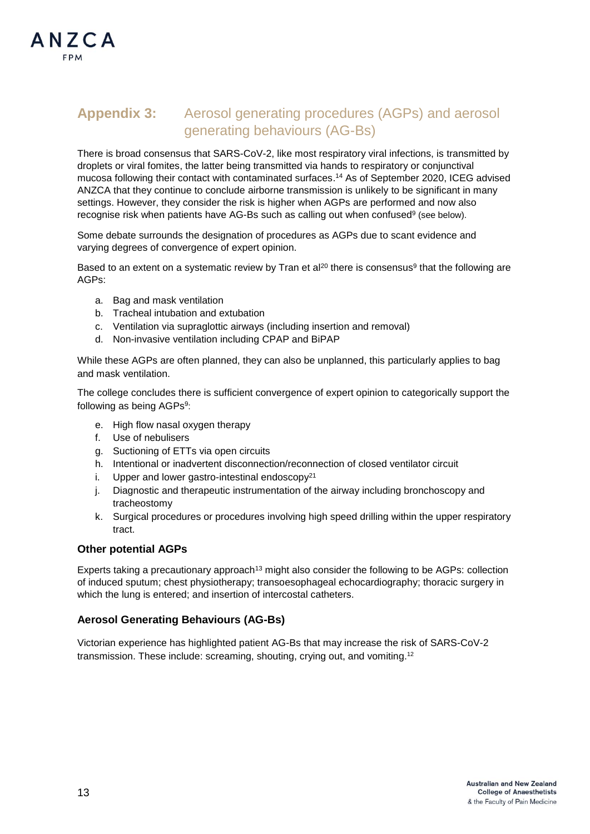# <span id="page-12-0"></span>**Appendix 3:** Aerosol generating procedures (AGPs) and aerosol generating behaviours (AG-Bs)

There is broad consensus that SARS-CoV-2, like most respiratory viral infections, is transmitted by droplets or viral fomites, the latter being transmitted via hands to respiratory or conjunctival mucosa following their contact with contaminated surfaces. <sup>14</sup> As of September 2020, ICEG advised ANZCA that they continue to conclude airborne transmission is unlikely to be significant in many settings. However, they consider the risk is higher when AGPs are performed and now also recognise risk when patients have AG-Bs such as calling out when confused<sup>9</sup> (see below).

Some debate surrounds the designation of procedures as AGPs due to scant evidence and varying degrees of convergence of expert opinion.

Based to an extent on a systematic review by Tran et al<sup>20</sup> there is consensus<sup>9</sup> that the following are AGPs:

- a. Bag and mask ventilation
- b. Tracheal intubation and extubation
- c. Ventilation via supraglottic airways (including insertion and removal)
- d. Non-invasive ventilation including CPAP and BiPAP

While these AGPs are often planned, they can also be unplanned, this particularly applies to bag and mask ventilation.

The college concludes there is sufficient convergence of expert opinion to categorically support the following as being AGPs<sup>9</sup>:

- e. High flow nasal oxygen therapy
- f. Use of nebulisers
- g. Suctioning of ETTs via open circuits
- h. Intentional or inadvertent disconnection/reconnection of closed ventilator circuit
- i. Upper and lower gastro-intestinal endoscop $v^{21}$
- j. Diagnostic and therapeutic instrumentation of the airway including bronchoscopy and tracheostomy
- k. Surgical procedures or procedures involving high speed drilling within the upper respiratory tract.

#### **Other potential AGPs**

Experts taking a precautionary approach<sup>13</sup> might also consider the following to be AGPs: collection of induced sputum; chest physiotherapy; transoesophageal echocardiography; thoracic surgery in which the lung is entered; and insertion of intercostal catheters.

#### **Aerosol Generating Behaviours (AG-Bs)**

Victorian experience has highlighted patient AG-Bs that may increase the risk of SARS-CoV-2 transmission. These include: screaming, shouting, crying out, and vomiting.<sup>12</sup>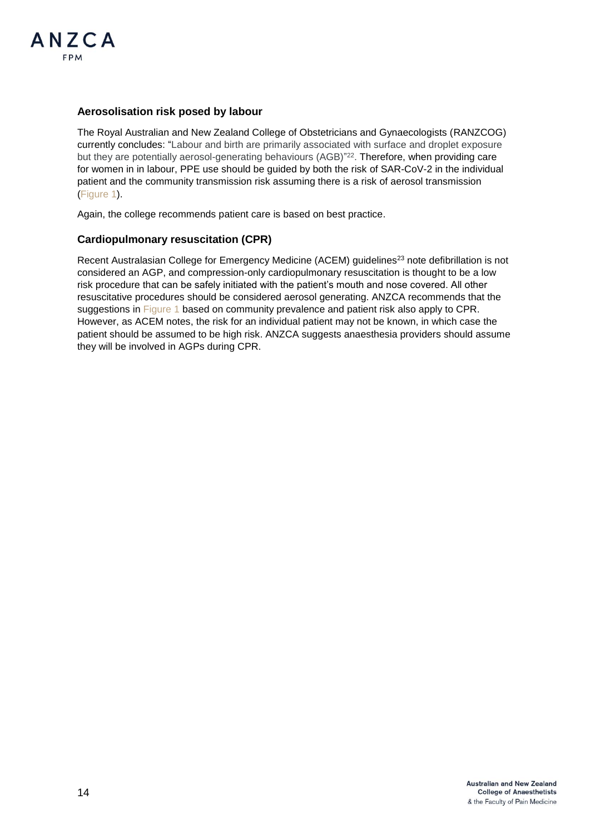

### **Aerosolisation risk posed by labour**

The Royal Australian and New Zealand College of Obstetricians and Gynaecologists (RANZCOG) currently concludes: "Labour and birth are primarily associated with surface and droplet exposure but they are potentially aerosol-generating behaviours (AGB)" 22 . Therefore, when providing care for women in in labour. PPE use should be quided by both the risk of SAR-CoV-2 in the individual patient and the community transmission risk assuming there is a risk of aerosol transmission [\(Figure 1\)](#page-5-0).

Again, the college recommends patient care is based on best practice.

### **Cardiopulmonary resuscitation (CPR)**

Recent Australasian College for Emergency Medicine (ACEM) guidelines<sup>23</sup> note defibrillation is not considered an AGP, and compression-only cardiopulmonary resuscitation is thought to be a low risk procedure that can be safely initiated with the patient's mouth and nose covered. All other resuscitative procedures should be considered aerosol generating. ANZCA recommends that the suggestions in [Figure 1](#page-5-0) based on community prevalence and patient risk also apply to CPR. However, as ACEM notes, the risk for an individual patient may not be known, in which case the patient should be assumed to be high risk. ANZCA suggests anaesthesia providers should assume they will be involved in AGPs during CPR.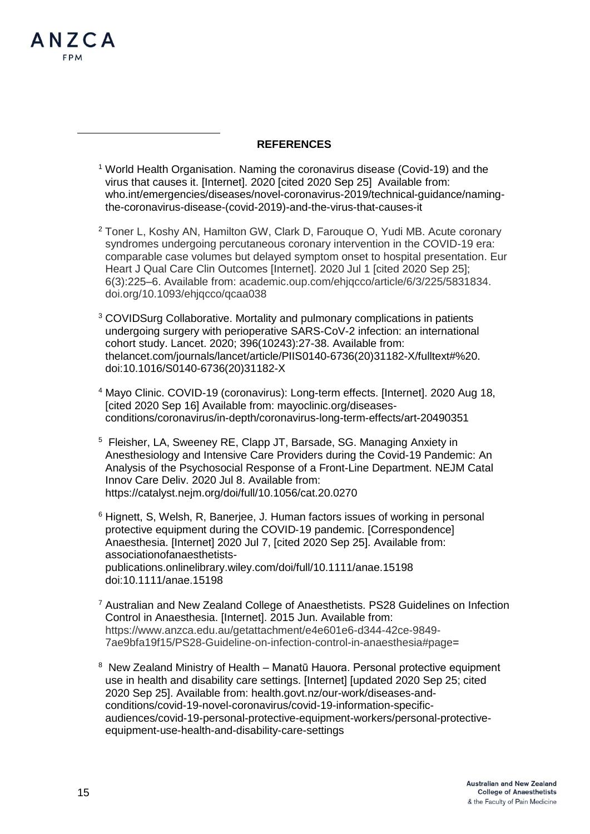

-

### **REFERENCES**

- <sup>1</sup> World Health Organisation. Naming the coronavirus disease (Covid-19) and the virus that causes it. [Internet]. 2020 [cited 2020 Sep 25] Available from: who.int/emergencies/diseases/novel-coronavirus-2019/technical-guidance/namingthe-coronavirus-disease-(covid-2019)-and-the-virus-that-causes-it
- <sup>2</sup> Toner L, Koshy AN, Hamilton GW, Clark D, Farouque O, Yudi MB. Acute coronary syndromes undergoing percutaneous coronary intervention in the COVID-19 era: comparable case volumes but delayed symptom onset to hospital presentation. Eur Heart J Qual Care Clin Outcomes [Internet]. 2020 Jul 1 [cited 2020 Sep 25]; 6(3):225–6. Available from: [academic.oup.com/ehjqcco/article/6/3/225/5831834.](file:///C:/Users/AFitzgerald/AppData/Local/Microsoft/Windows/INetCache/Content.Outlook/LL1DO765/academic.oup.com/ehjqcco/article/6/3/225/5831834.%20doi.org/10.1093/ehjqcco/qcaa038) [doi.org/10.1093/ehjqcco/qcaa038](file:///C:/Users/AFitzgerald/AppData/Local/Microsoft/Windows/INetCache/Content.Outlook/LL1DO765/academic.oup.com/ehjqcco/article/6/3/225/5831834.%20doi.org/10.1093/ehjqcco/qcaa038)
- <sup>3</sup> COVIDSurg Collaborative. Mortality and pulmonary complications in patients undergoing surgery with perioperative SARS-CoV-2 infection: an international cohort study. Lancet. 2020; 396(10243):27-38. Available from: thelancet.com/journals/lancet/article/PIIS0140-6736(20)31182-X/fulltext#%20. doi:10.1016/S0140-6736(20)31182-X
- <sup>4</sup> Mayo Clinic. COVID-19 (coronavirus): Long-term effects. [Internet]. 2020 Aug 18, [cited 2020 Sep 16] Available from: mayoclinic.org/diseasesconditions/coronavirus/in-depth/coronavirus-long-term-effects/art-20490351
- <sup>5</sup> Fleisher, LA, Sweeney RE, Clapp JT, Barsade, SG. Managing Anxiety in Anesthesiology and Intensive Care Providers during the Covid-19 Pandemic: An Analysis of the Psychosocial Response of a Front-Line Department. NEJM Catal Innov Care Deliv. 2020 Jul 8. Available from: https://catalyst.nejm.org/doi/full/10.1056/cat.20.0270
- <sup>6</sup> Hignett, S, Welsh, R, Banerjee, J. Human factors issues of working in personal protective equipment during the COVID‐19 pandemic. [Correspondence] Anaesthesia. [Internet] 2020 Jul 7, [cited 2020 Sep 25]. Available from: associationofanaesthetistspublications.onlinelibrary.wiley.com/doi/full/10.1111/anae.15198 doi:10.1111/anae.15198
- <sup>7</sup> Australian and New Zealand College of Anaesthetists. PS28 Guidelines on Infection Control in Anaesthesia. [Internet]. 2015 Jun. Available from: [https://www.anzca.edu.au/getattachment/e4e601e6-d344-42ce-9849-](https://www.anzca.edu.au/getattachment/e4e601e6-d344-42ce-9849-7ae9bfa19f15/PS28-Guideline-on-infection-control-in-anaesthesia#page) [7ae9bfa19f15/PS28-Guideline-on-infection-control-in-anaesthesia#page=](https://www.anzca.edu.au/getattachment/e4e601e6-d344-42ce-9849-7ae9bfa19f15/PS28-Guideline-on-infection-control-in-anaesthesia#page)
- <sup>8</sup> New Zealand Ministry of Health Manatū Hauora. Personal protective equipment use in health and disability care settings. [Internet] [updated 2020 Sep 25; cited 2020 Sep 25]. Available from: health.govt.nz/our-work/diseases-andconditions/covid-19-novel-coronavirus/covid-19-information-specificaudiences/covid-19-personal-protective-equipment-workers/personal-protectiveequipment-use-health-and-disability-care-settings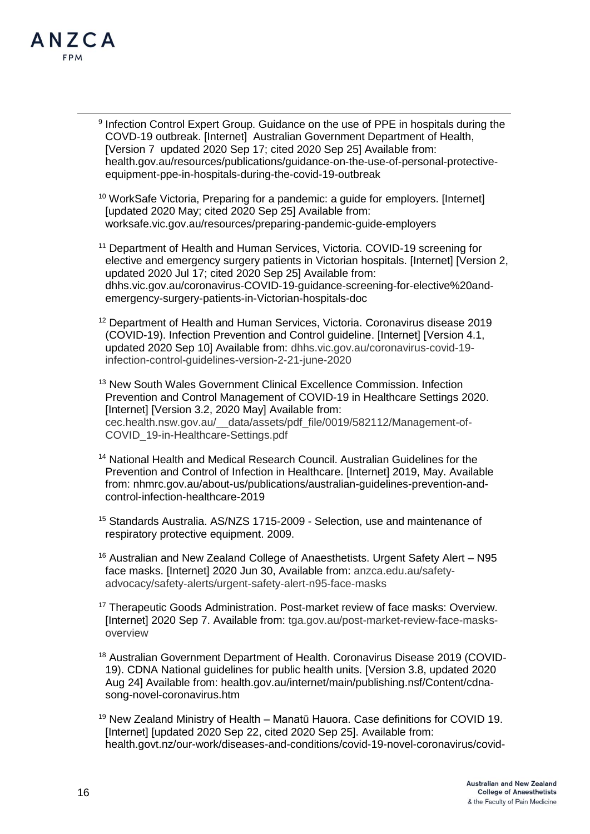

-

<sup>9</sup> Infection Control Expert Group. Guidance on the use of PPE in hospitals during the COVD-19 outbreak. [Internet] Australian Government Department of Health, [Version 7 updated 2020 Sep 17; cited 2020 Sep 25] Available from: health.gov.au/resources/publications/guidance-on-the-use-of-personal-protectiveequipment-ppe-in-hospitals-during-the-covid-19-outbreak

<sup>10</sup> WorkSafe Victoria, Preparing for a pandemic: a guide for employers. [Internet] [updated 2020 May; cited 2020 Sep 25] Available from: worksafe.vic.gov.au/resources/preparing-pandemic-guide-employers

<sup>11</sup> Department of Health and Human Services, Victoria, COVID-19 screening for elective and emergency surgery patients in Victorian hospitals. [Internet] [Version 2, updated 2020 Jul 17; cited 2020 Sep 25] Available from: dhhs.vic.gov.au/coronavirus-COVID-19-guidance-screening-for-elective%20andemergency-surgery-patients-in-Victorian-hospitals-doc

<sup>12</sup> Department of Health and Human Services, Victoria. Coronavirus disease 2019 (COVID-19). Infection Prevention and Control guideline. [Internet] [Version 4.1, updated 2020 Sep 10] Available from: [dhhs.vic.gov.au/coronavirus-covid-19](https://www.dhhs.vic.gov.au/coronavirus-covid-19-infection-control-guidelines-version-2-21-june-2020) [infection-control-guidelines-version-2-21-june-2020](https://www.dhhs.vic.gov.au/coronavirus-covid-19-infection-control-guidelines-version-2-21-june-2020)

<sup>13</sup> New South Wales Government Clinical Excellence Commission. Infection Prevention and Control Management of COVID-19 in Healthcare Settings 2020. [Internet] [Version 3.2, 2020 May] Available from: [cec.health.nsw.gov.au/\\_\\_data/assets/pdf\\_file/0019/582112/Management-of-](http://www.cec.health.nsw.gov.au/__data/assets/pdf_file/0019/582112/Management-of-COVID_19-in-Healthcare-Settings.pdf)[COVID\\_19-in-Healthcare-Settings.pdf](http://www.cec.health.nsw.gov.au/__data/assets/pdf_file/0019/582112/Management-of-COVID_19-in-Healthcare-Settings.pdf)

- <sup>14</sup> National Health and Medical Research Council. Australian Guidelines for the Prevention and Control of Infection in Healthcare. [Internet] 2019, May. Available from: nhmrc.gov.au/about-us/publications/australian-guidelines-prevention-andcontrol-infection-healthcare-2019
- <sup>15</sup> Standards Australia. AS/NZS 1715-2009 Selection, use and maintenance of respiratory protective equipment. 2009.
- <sup>16</sup> Australian and New Zealand College of Anaesthetists. Urgent Safety Alert N95 face masks. [Internet] 2020 Jun 30, Available from: [anzca.edu.au/safety](https://www.anzca.edu.au/safety-advocacy/safety-alerts/urgent-safety-alert-n95-face-masks)[advocacy/safety-alerts/urgent-safety-alert-n95-face-masks](https://www.anzca.edu.au/safety-advocacy/safety-alerts/urgent-safety-alert-n95-face-masks)
- <sup>17</sup> Therapeutic Goods Administration. Post-market review of face masks: Overview. [Internet] 2020 Sep 7. Available from: [tga.gov.au/post-market-review-face-masks](https://www.tga.gov.au/post-market-review-face-masks-overview)[overview](https://www.tga.gov.au/post-market-review-face-masks-overview)
- <sup>18</sup> Australian Government Department of Health. Coronavirus Disease 2019 (COVID-19). CDNA National guidelines for public health units. [Version 3.8, updated 2020 Aug 24] Available from: health.gov.au/internet/main/publishing.nsf/Content/cdnasong-novel-coronavirus.htm

<sup>19</sup> New Zealand Ministry of Health – Manatū Hauora. Case definitions for COVID 19. [Internet] [updated 2020 Sep 22, cited 2020 Sep 25]. Available from: health.govt.nz/our-work/diseases-and-conditions/covid-19-novel-coronavirus/covid-